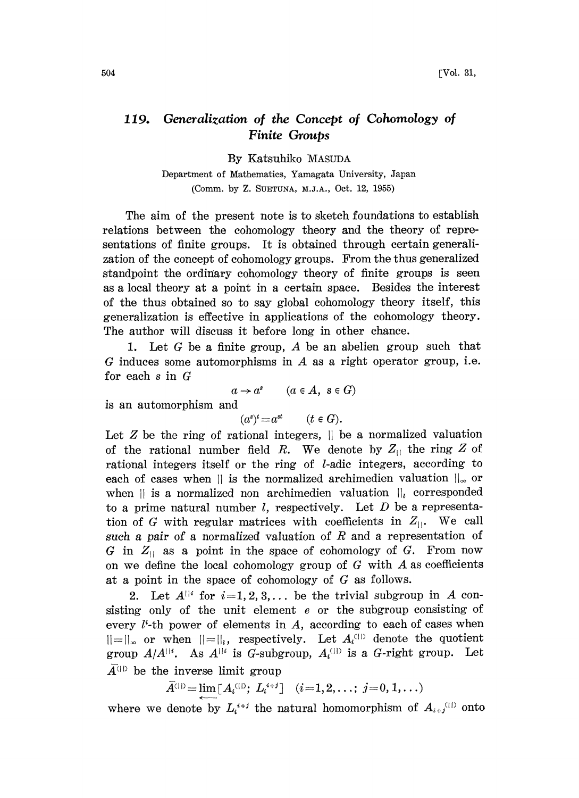## 119. Generalization of the Concept of Cohomology of Finite Groups

By Katsuhiko MASUDA

Department of Mathematics, Yamagata University, Japan (Comm. by Z. SUETUNA, M.J.A., Oct. 12, 1955)

The aim of the present note is to sketch foundations to establish relations between the cohomology theory and the theory of representations of finite groups. It is obtained through certain generalization of the concept of cohomology groups. From the thus generalized standpoint the ordinary cohomology heory of finite groups is seen as a local theory at a point in a certain space. Besides the interest of the thus obtained so to say global cohomology theory itself, this generalization is effective in applications of the cohomology theory. The author will discuss it before long in other chance.

1. Let G be a finite group, A be an abelien group such that  $G$  induces some automorphisms in  $A$  as a right operator group, i.e. for each  $s$  in  $G$ 

$$
a \to a^s \qquad (a \in A, \ s \in G)
$$

is an automorphism and

 $(a^s)^t = a^{st}$   $(t \in G)$ .

Let  $Z$  be the ring of rational integers,  $||$  be a normalized valuation of the rational number field R. We denote by  $Z_{\parallel}$  the ring Z of rational integers itself or the ring of *l*-adic integers, according to each of cases when  $\parallel$  is the normalized archimedien valuation  $\parallel_{\infty}$  or when  $\parallel$  is a normalized non archimedien valuation  $\parallel$ <sub>i</sub> corresponded to a prime natural number  $l$ , respectively. Let  $D$  be a representation of G with regular matrices with coefficients in  $Z_{\parallel}$ . We call such a pair of a normalized valuation of  $R$  and a representation of G in  $Z_{||}$  as a point in the space of cohomology of G. From now on we define the local cohomology group of  $G$  with  $A$  as coefficients at a point in the space of cohomology of G as follows.

2. Let  $A^{\parallel i}$  for  $i=1, 2, 3, \ldots$  be the trivial subgroup in A consisting only of the unit element <sup>e</sup> or the subgroup consisting of every  $l^t$ -th power of elements in A, according to each of cases when  $||=||_{\infty}$  or when  $||=||_{l}$ , respectively. Let  $A_{l}^{(||)}$  denote the quotient group  $A/A^{||i}$ . As  $A^{||i}$  is G-subgroup,  $A_i^{(||)}$  is a G-right group. Let  $\overline{A}^{\text{(1)}}$  be the inverse limit group

 $\bar{A}^{(1)} = \lim [A_i^{(1)}; L_i^{i+j}] \quad (i=1,2,\ldots; j=0,1,\ldots)$ 

where we denote by  $L_i^{i+j}$  the natural homomorphism of  $A_{i+j}^{(i)}$  onto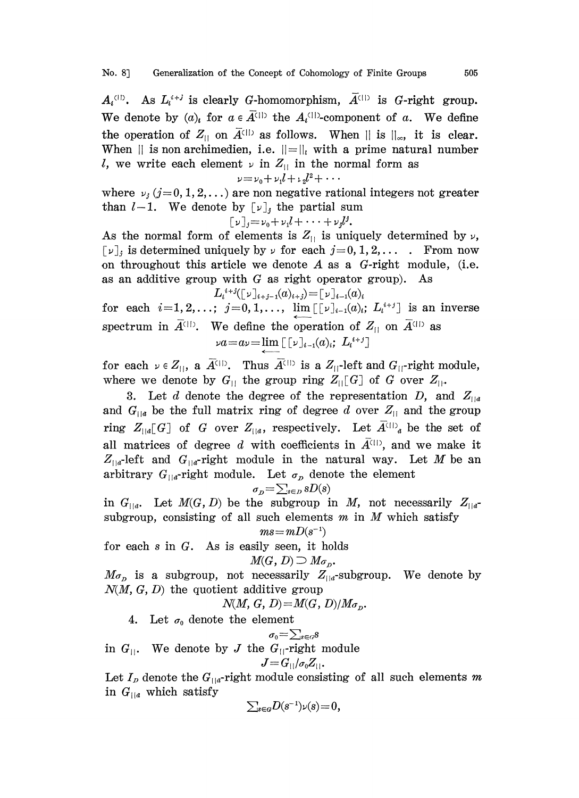$A_i^{(1)}$ . As  $L_i^{i+j}$  is clearly G-homomorphism,  $\overline{A}^{(1)}$  is G-right group. We denote by  $(a)_i$  for  $a \in \overline{A}^{(|)}$  the  $A_i^{(|)}$ -component of a. We define the operation of  $Z_{||}$  on  $\overline{A}^{(||)}$  as follows. When  $||$  is  $||_{\infty}$ , it is clear. When  $||$  is non archimedien, i.e.  $||=||_l$  with a prime natural number l, we write each element  $\nu$  in  $Z_{\parallel}$  in the normal form as

$$
v=v_0+v_1l+\nu_2l^2+\cdots
$$

where  $\nu_i$  (j=0, 1, 2,...) are non negative rational integers not greater than  $l-1$ . We denote by  $[\nu]_i$ , the partial sum

$$
[\nu]_j = \nu_0 + \nu_1 l + \cdots + \nu_j l^j.
$$

As the normal form of elements is  $Z_{11}$  is uniquely determined by  $\nu$ ,  $[\nu]_i$  is determined uniquely by  $\nu$  for each  $j = 0, 1, 2, \ldots$  From now on throughout this article we denote  $A$  as a  $G$ -right module, (i.e. as an additive group with  $G$  as right operator group). As

$$
L_i{}^{i+j}([\nu]_{i+j-1}(a)_{i+j}) = [\nu]_{i-1}(a)_i
$$

for each  $i=1,2,...; j=0,1,..., \lim_{t \to \infty} [r]_{i-1}(a)_i; L_i^{i+j}]$  is an inverse spectrum in  $\vec{A}^{\text{(1)}}$ . We define the operation of  $Z_{\text{(1)}}$  on  $\vec{A}^{\text{(1)}}$  as  $\nu a = a\nu = \lim_{h \to 0} [ \nu]_{i-1}(a)_i; L_i^{i+j} ]$ 

for each  $\nu \in Z_{\vert\vert}$ , a  $\overline{A}^{\vert\vert\vert}$ . Thus  $\overline{A}^{\vert\vert\vert}$  is a  $Z_{\vert\vert}$ -left and  $G_{\vert\vert}$ -right module, where we denote by  $G_{\text{II}}$  the group ring  $Z_{\text{II}}[G]$  of G over  $Z_{\text{II}}$ .

3. Let d denote the degree of the representation D, and  $Z_{||a}$ and  $G_{\parallel a}$  be the full matrix ring of degree d over  $Z_{\parallel}$  and the group ring  $Z_{\lfloor a \rfloor}[G]$  of G over  $Z_{\lfloor a \rfloor}$ , respectively. Let  $\overline{A}^{\langle \perp \rangle}{}_{a}$  be the set of all matrices of degree d with coefficients in  $\overline{A}^{(1)}$ , and we make it  $Z_{t/a}$ -left and  $G_{t/a}$ -right module in the natural way. Let M be an arbitrary  $G_{||a}$ -right module. Let  $\sigma_p$  denote the element

$$
\sigma_{\scriptscriptstyle D} \! = \! \sum_{s \in {\scriptscriptstyle D}} sD(s)
$$

in  $G_{\text{H}a}$ . Let  $M(G, D)$  be the subgroup in M, not necessarily  $Z_{\text{H}a}$ subgroup, consisting of all such elements  $m$  in  $M$  which satisfy

$$
ms\!=\!mD(s^{-1})
$$

for each <sup>s</sup> in G. As is easily seen, it holds

$$
M(G, D) \supseteq M_{\sigma_D}.
$$

 $M_{\sigma_p}$  is a subgroup, not necessarily  $Z_{\parallel a}$ -subgroup. We denote by  $N(M, G, D)$  the quotient additive group  $N(M, G, D) = M(G, D)/M\sigma_D$ .

$$
N(M, G, D) = M(G, D)/M_{\sigma_D}.
$$

4. Let  $\sigma_0$  denote the element

$$
\sigma_0 = \sum_{s \in G} s
$$

in  $G_{\parallel}$ . We denote by J the  $G_{\parallel}$ -right module

$$
J\!=\!G_{||}/\sigma_0Z_{||}.
$$

Let  $I_p$  denote the  $G_{\parallel a}$ -right module consisting of all such elements m in  $G_{\parallel a}$  which satisfy

$$
\sum_{s\in G}D(s^{-1})\nu(s)=0,
$$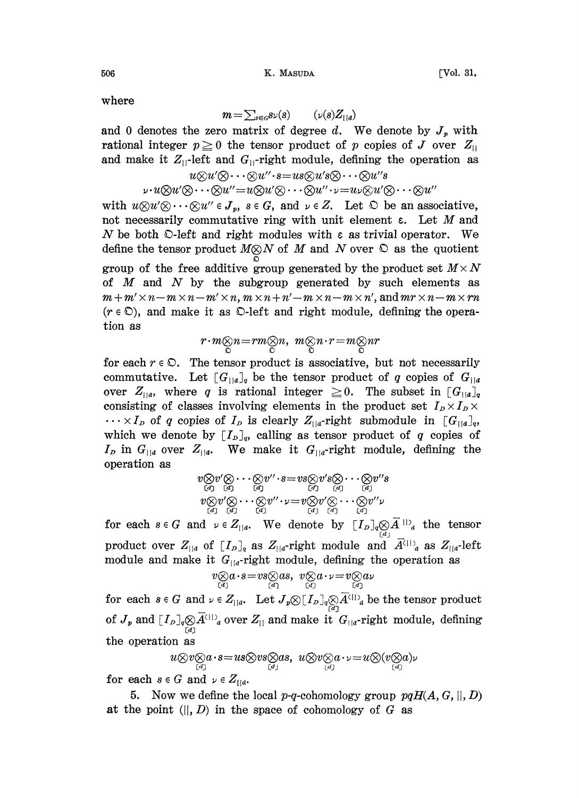506 K. MASUDA [Vol. 31,

where

$$
m = \sum_{s \in G} s \nu(s) \qquad (\nu(s) Z_{\vert \vert d})
$$

and 0 denotes the zero matrix of degree d. We denote by  $J_p$  with rational integer  $p \ge 0$  the tensor product of p copies of J over  $Z_{\parallel}$ and make it  $Z_{||}$ -left and  $G_{||}$ -right module, defining the operation as

$$
u\otimes u'\otimes \cdots \otimes u'' \cdot s = us\otimes u's\otimes \cdots \otimes u''s\n\cdots u\otimes u'\otimes \cdots \otimes u'' = u\otimes u'\otimes \cdots \otimes u'' \cdot v = u\vee \otimes u'\otimes \cdots \otimes u''
$$

with  $u\otimes u'\otimes \cdots \otimes u'' \in J_n$ ,  $s \in G$ , and  $u \in Z$ . Let  $\mathfrak D$  be an associative, not necessarily commutative ring with unit element  $\varepsilon$ . Let M and N be both  $\mathcal{D}$ -left and right modules with  $\varepsilon$  as trivial operator. We define the tensor product  $M \otimes N$  of M and N over  $\Omega$  as the quotient group of the free additive group generated by the product set  $M \times N$ of  $M$  and  $N$  by the subgroup generated by such elements as  $m + m' \times n - m \times n - m' \times n$ ,  $m \times n + n' - m \times n - m \times n'$ , and  $mr \times n - m \times rn$  $(r \in \mathcal{D})$ , and make it as  $\mathcal{D}$ -left and right module, defining the operation as

$$
r\!\cdot\! m\mathop{\otimes}\limits_{\mathbb{O}} n\!=\!rm\mathop{\otimes}\limits_{\mathbb{O}} n,\ m\mathop{\otimes}\limits_{\mathbb{O}} n\!\cdot\! r\!=\!m\mathop{\otimes}\limits_{\mathbb{O}} n r
$$

for each  $r \in \mathcal{D}$ . The tensor product is associative, but not necessarily commutative. Let  $[G_{\parallel a}]_q$  be the tensor product of q copies of  $G_{\parallel a}$ over  $Z_{\parallel a}$ , where q is rational integer  $\geq 0$ . The subset in  $[G_{\parallel a}]_q$ consisting of classes involving elements in the product set  $I_p \times I_p \times$  $\cdots \times I_p$  of q copies of  $I_p$  is clearly  $Z_{\parallel a}$ -right submodule in  $[G_{\parallel a}]_q$ , which we denote by  $[I_p]_q$ , calling as tensor product of q copies of  $I_p$  in  $G_{||a}$  over  $Z_{||a}$ . We make it  $G_{||a}$ -right module, defining the operation as

$$
v \otimes v' \otimes \cdots \otimes v'' \cdot s = vs \otimes v's \otimes \cdots \otimes v''s\n(v \otimes v' \otimes \cdots \otimes v'' \cdot v = v \otimes v' \otimes \cdots \otimes v''s\n(v \otimes v' \otimes \cdots \otimes v'' \cdot v = v \otimes v' \otimes \cdots \otimes v''v\n(v \otimes v \otimes \cdots \otimes v'' \cdot v = v \otimes v' \otimes \cdots \otimes v''v
$$

for each  $s \in G$  and  $v \in Z_{\vert a}$ . We denote by  $[I_D]_q \underset{a}{\otimes} \overline{A}^{\vert l \vert}_a$  the tensor product over  $Z_{\parallel a}$  of  $[I_D]_q$  as  $Z_{\parallel a}$ -right module and  $\overline{A}^{\langle \parallel}{}_{a}$  as  $Z_{\parallel a}$ -left module and make it  $G_{\text{H}a}$ -right module, defining the operation as

$$
v\otimes_{\stackrel{[d]}{(d)}}a\cdot s=v s\otimes_{\stackrel{[d]}{(d)}} s,\;\; v\otimes_{\stackrel{[d]}{(d)}} a\cdot \nu=v\otimes_{\stackrel{[d]}{(d)}}
$$

for each  $s\in G$  and  $\nu\in Z_{\vert\vert a}.$  Let  $J_p\otimes [I_p]_q\otimes \overline{A}^{\langle\vert\vert}_a$  be the tensor product of  $J_p$  and  $[I_p]_q \otimes \overline{A}^{(|)}_q$  over  $Z_{||}$  and make it  $G_{||q}$ -right module, defining the operation as

$$
u\otimes v\otimes a\cdot s=us\otimes vs\otimes as,\ u\otimes v\otimes a\cdot v=u\otimes (v\otimes a)\nu
$$

for each  $s \in G$  and  $\nu \in Z_{\text{tia}}$ .

5. Now we define the local p-q-cohomology group  $pqH(A, G, \parallel, D)$ at the point  $(||, D)$  in the space of cohomology of G as